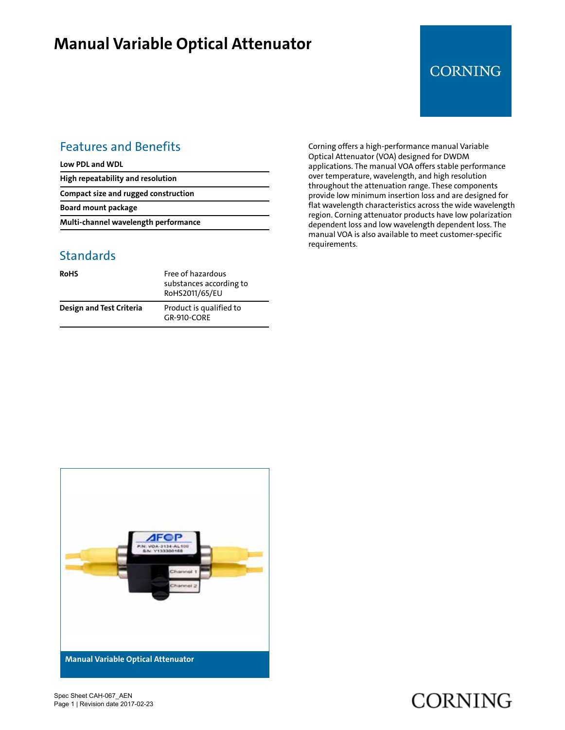## **Manual Variable Optical Attenuator**

### **CORNING**

### Features and Benefits

**Low PDL and WDL**

**High repeatability and resolution**

**Compact size and rugged construction**

**Board mount package**

**Multi-channel wavelength performance**

#### **Standards**

| <b>RoHS</b>              | Free of hazardous<br>substances according to<br>RoHS2011/65/EU |
|--------------------------|----------------------------------------------------------------|
| Design and Test Criteria | Product is qualified to<br>GR-910-CORF                         |

Corning offers a high‑performance manual Variable Optical Attenuator (VOA) designed for DWDM applications. The manual VOA offers stable performance over temperature, wavelength, and high resolution throughout the attenuation range. These components provide low minimum insertion loss and are designed for flat wavelength characteristics across the wide wavelength region. Corning attenuator products have low polarization dependent loss and low wavelength dependent loss. The manual VOA is also available to meet customer‑specific requirements.



Spec Sheet CAH-067\_AEN Page 1 | Revision date 2017-02-23

# **CORNING**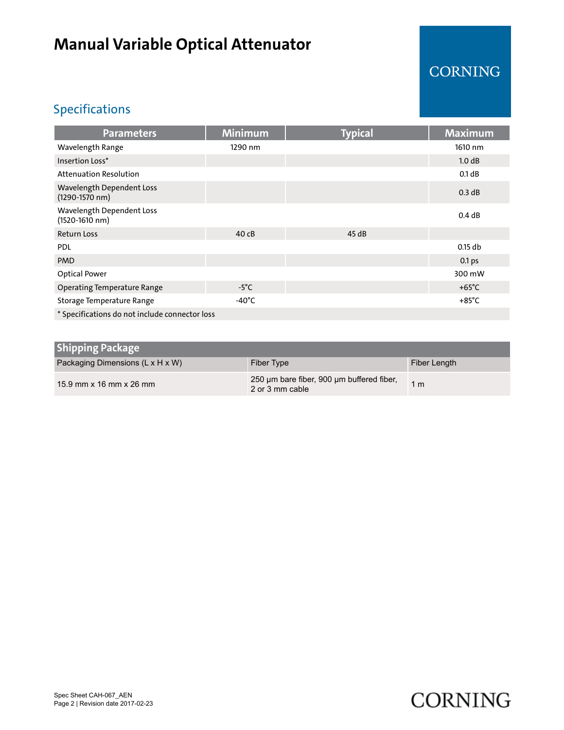## **Manual Variable Optical Attenuator**

## CORNING

### Specifications

| <b>Parameters</b>                              | <b>Minimum</b>  | <b>Typical</b> | <b>Maximum</b>    |  |
|------------------------------------------------|-----------------|----------------|-------------------|--|
| Wavelength Range                               | 1290 nm         |                | 1610 nm           |  |
| Insertion Loss*                                |                 |                | 1.0 dB            |  |
| <b>Attenuation Resolution</b>                  |                 |                | 0.1 dB            |  |
| Wavelength Dependent Loss<br>(1290-1570 nm)    |                 |                | 0.3 dB            |  |
| Wavelength Dependent Loss<br>(1520-1610 nm)    |                 |                | 0.4 dB            |  |
| <b>Return Loss</b>                             | 40cB            | 45dB           |                   |  |
| <b>PDL</b>                                     |                 |                | $0.15$ db         |  |
| <b>PMD</b>                                     |                 |                | 0.1 <sub>ps</sub> |  |
| <b>Optical Power</b>                           |                 |                | 300 mW            |  |
| <b>Operating Temperature Range</b>             | $-5^{\circ}$ C  |                | $+65^{\circ}$ C   |  |
| Storage Temperature Range                      | $-40^{\circ}$ C |                | $+85^{\circ}$ C   |  |
| * Specifications do not include connector loss |                 |                |                   |  |

| <b>Shipping Package</b>          |                                                              |               |
|----------------------------------|--------------------------------------------------------------|---------------|
| Packaging Dimensions (L x H x W) | Fiber Type                                                   | Fiber Length  |
| 15.9 mm x 16 mm x 26 mm          | 250 µm bare fiber, 900 µm buffered fiber,<br>2 or 3 mm cable | $1 \text{ m}$ |